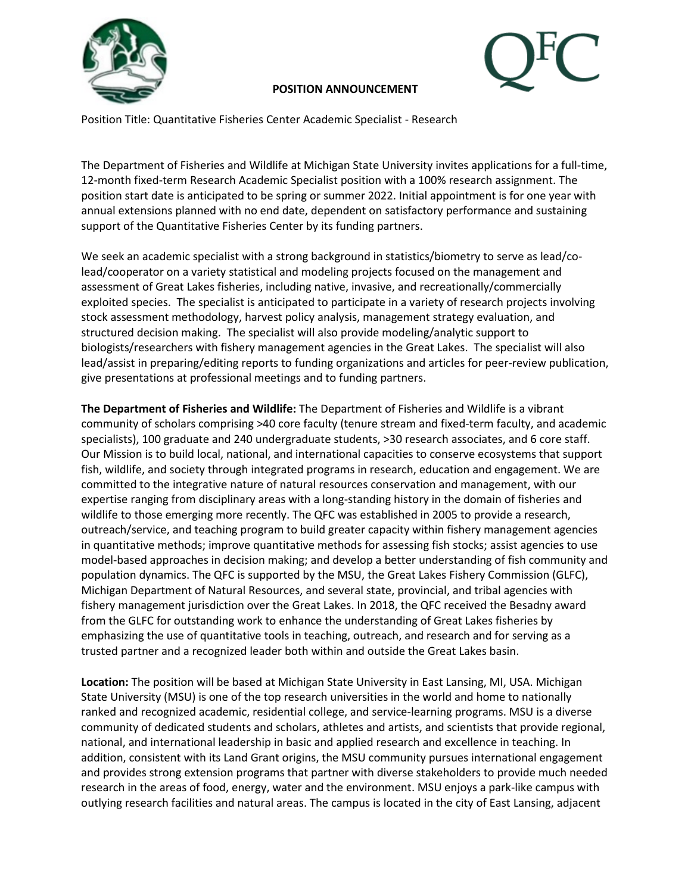



# **POSITION ANNOUNCEMENT**

Position Title: Quantitative Fisheries Center Academic Specialist - Research

The Department of Fisheries and Wildlife at Michigan State University invites applications for a full-time, 12-month fixed-term Research Academic Specialist position with a 100% research assignment. The position start date is anticipated to be spring or summer 2022. Initial appointment is for one year with annual extensions planned with no end date, dependent on satisfactory performance and sustaining support of the Quantitative Fisheries Center by its funding partners.

We seek an academic specialist with a strong background in statistics/biometry to serve as lead/colead/cooperator on a variety statistical and modeling projects focused on the management and assessment of Great Lakes fisheries, including native, invasive, and recreationally/commercially exploited species. The specialist is anticipated to participate in a variety of research projects involving stock assessment methodology, harvest policy analysis, management strategy evaluation, and structured decision making. The specialist will also provide modeling/analytic support to biologists/researchers with fishery management agencies in the Great Lakes. The specialist will also lead/assist in preparing/editing reports to funding organizations and articles for peer-review publication, give presentations at professional meetings and to funding partners.

**The Department of Fisheries and Wildlife:** The Department of Fisheries and Wildlife is a vibrant community of scholars comprising >40 core faculty (tenure stream and fixed-term faculty, and academic specialists), 100 graduate and 240 undergraduate students, >30 research associates, and 6 core staff. Our Mission is to build local, national, and international capacities to conserve ecosystems that support fish, wildlife, and society through integrated programs in research, education and engagement. We are committed to the integrative nature of natural resources conservation and management, with our expertise ranging from disciplinary areas with a long-standing history in the domain of fisheries and wildlife to those emerging more recently. The QFC was established in 2005 to provide a research, outreach/service, and teaching program to build greater capacity within fishery management agencies in quantitative methods; improve quantitative methods for assessing fish stocks; assist agencies to use model-based approaches in decision making; and develop a better understanding of fish community and population dynamics. The QFC is supported by the MSU, the Great Lakes Fishery Commission (GLFC), Michigan Department of Natural Resources, and several state, provincial, and tribal agencies with fishery management jurisdiction over the Great Lakes. In 2018, the QFC received the Besadny award from the GLFC for outstanding work to enhance the understanding of Great Lakes fisheries by emphasizing the use of quantitative tools in teaching, outreach, and research and for serving as a trusted partner and a recognized leader both within and outside the Great Lakes basin.

**Location:** The position will be based at Michigan State University in East Lansing, MI, USA. Michigan State University (MSU) is one of the top research universities in the world and home to nationally ranked and recognized academic, residential college, and service-learning programs. MSU is a diverse community of dedicated students and scholars, athletes and artists, and scientists that provide regional, national, and international leadership in basic and applied research and excellence in teaching. In addition, consistent with its Land Grant origins, the MSU community pursues international engagement and provides strong extension programs that partner with diverse stakeholders to provide much needed research in the areas of food, energy, water and the environment. MSU enjoys a park-like campus with outlying research facilities and natural areas. The campus is located in the city of East Lansing, adjacent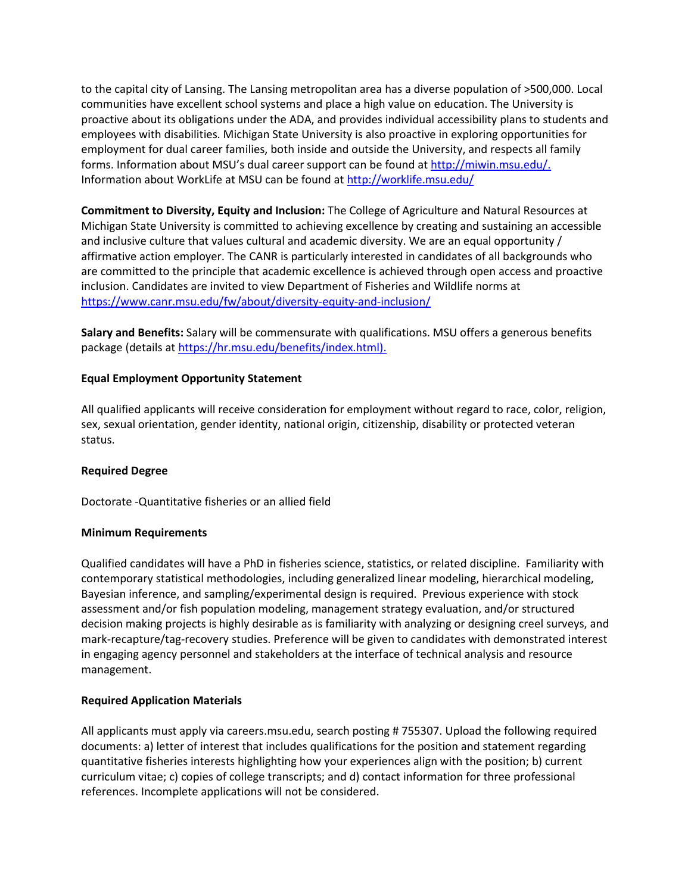to the capital city of Lansing. The Lansing metropolitan area has a diverse population of >500,000. Local communities have excellent school systems and place a high value on education. The University is proactive about its obligations under the ADA, and provides individual accessibility plans to students and employees with disabilities. Michigan State University is also proactive in exploring opportunities for employment for dual career families, both inside and outside the University, and respects all family forms. Information about MSU's dual career support can be found a[t http://miwin.msu.edu/.](https://urldefense.com/v3/__https:/links.dc4.pageuppeople.com/ss/c/5XTg7Dj3CjhFnCdlkg5Ylf3Ob3GghIx_gzP_E6UdY10/3gd/UnLcdNc2TdylPqUYP9hI_A/h3/h8oD8aUXrEsNJo4W2rrj8NUfgkzWivTGazVefh7T8hM__;!!HXCxUKc!kzYXT-8WteT6x9Zcw8tBhZ_wU2bwFDzOGzItrzHet4m6qmahZkaz6-B0OeTSvw$) Information about WorkLife at MSU can be found a[t http://worklife.msu.edu/](https://urldefense.com/v3/__https:/links.dc4.pageuppeople.com/ss/c/aqBQi15-7YYd6lMX5mNJNM4ZP3pqlOymIPl0f9loKBM/3gd/UnLcdNc2TdylPqUYP9hI_A/h4/LdpL3FX_lW1XApCQIzNF_nKSaYLLmBb6WUCG8DBh0a8__;!!HXCxUKc!kzYXT-8WteT6x9Zcw8tBhZ_wU2bwFDzOGzItrzHet4m6qmahZkaz6-An8B7lSg$) 

**Commitment to Diversity, Equity and Inclusion:** The College of Agriculture and Natural Resources at Michigan State University is committed to achieving excellence by creating and sustaining an accessible and inclusive culture that values cultural and academic diversity. We are an equal opportunity / affirmative action employer. The CANR is particularly interested in candidates of all backgrounds who are committed to the principle that academic excellence is achieved through open access and proactive inclusion. Candidates are invited to view Department of Fisheries and Wildlife norms at [https://www.canr.msu.edu/fw/about/diversity-equity-and-inclusion/](https://urldefense.com/v3/__https:/links.dc4.pageuppeople.com/ss/c/3Zb5RhPyzttRmVmSPSOoABrtMTtNaX5Z1TYSK0V6slc11ipQAOvPK4g1c-lDVnrv5E-_Ogo2JRVagoFjoQ1odeYBkh-4IS1qrLYi8cP7uQI/3gd/UnLcdNc2TdylPqUYP9hI_A/h5/qzaHZNG2ZkBUF4eWrruqwZga0ljYZPrNpGyHf4e8HoI__;!!HXCxUKc!kzYXT-8WteT6x9Zcw8tBhZ_wU2bwFDzOGzItrzHet4m6qmahZkaz6-DqHexTgg$)

**Salary and Benefits:** Salary will be commensurate with qualifications. MSU offers a generous benefits package (details at [https://hr.msu.edu/benefits/index.html\).](https://urldefense.com/v3/__https:/links.dc4.pageuppeople.com/ss/c/_aJzf59XgjFWfoYoogcn386D-Z_FXNnbahn6vEYpWcYNtXeScwNpCTJnO3tLxaru/3gd/UnLcdNc2TdylPqUYP9hI_A/h6/s_atVjT1gYXQ00fCxaUVLVAALSNiBL7rItn0fQZE8pM__;!!HXCxUKc!kzYXT-8WteT6x9Zcw8tBhZ_wU2bwFDzOGzItrzHet4m6qmahZkaz6-C_hr0J6A$)

## **Equal Employment Opportunity Statement**

All qualified applicants will receive consideration for employment without regard to race, color, religion, sex, sexual orientation, gender identity, national origin, citizenship, disability or protected veteran status.

## **Required Degree**

Doctorate -Quantitative fisheries or an allied field

#### **Minimum Requirements**

Qualified candidates will have a PhD in fisheries science, statistics, or related discipline. Familiarity with contemporary statistical methodologies, including generalized linear modeling, hierarchical modeling, Bayesian inference, and sampling/experimental design is required. Previous experience with stock assessment and/or fish population modeling, management strategy evaluation, and/or structured decision making projects is highly desirable as is familiarity with analyzing or designing creel surveys, and mark-recapture/tag-recovery studies. Preference will be given to candidates with demonstrated interest in engaging agency personnel and stakeholders at the interface of technical analysis and resource management.

## **Required Application Materials**

All applicants must apply via careers.msu.edu, search posting # 755307. Upload the following required documents: a) letter of interest that includes qualifications for the position and statement regarding quantitative fisheries interests highlighting how your experiences align with the position; b) current curriculum vitae; c) copies of college transcripts; and d) contact information for three professional references. Incomplete applications will not be considered.